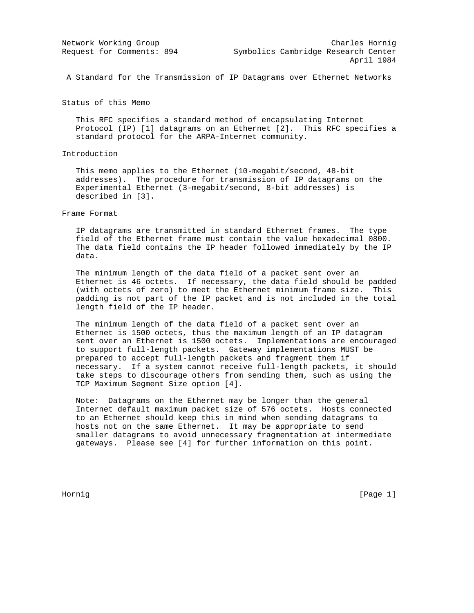A Standard for the Transmission of IP Datagrams over Ethernet Networks

Status of this Memo

 This RFC specifies a standard method of encapsulating Internet Protocol (IP) [1] datagrams on an Ethernet [2]. This RFC specifies a standard protocol for the ARPA-Internet community.

# Introduction

 This memo applies to the Ethernet (10-megabit/second, 48-bit addresses). The procedure for transmission of IP datagrams on the Experimental Ethernet (3-megabit/second, 8-bit addresses) is described in [3].

# Frame Format

 IP datagrams are transmitted in standard Ethernet frames. The type field of the Ethernet frame must contain the value hexadecimal 0800. The data field contains the IP header followed immediately by the IP data.

 The minimum length of the data field of a packet sent over an Ethernet is 46 octets. If necessary, the data field should be padded (with octets of zero) to meet the Ethernet minimum frame size. This padding is not part of the IP packet and is not included in the total length field of the IP header.

 The minimum length of the data field of a packet sent over an Ethernet is 1500 octets, thus the maximum length of an IP datagram sent over an Ethernet is 1500 octets. Implementations are encouraged to support full-length packets. Gateway implementations MUST be prepared to accept full-length packets and fragment them if necessary. If a system cannot receive full-length packets, it should take steps to discourage others from sending them, such as using the TCP Maximum Segment Size option [4].

 Note: Datagrams on the Ethernet may be longer than the general Internet default maximum packet size of 576 octets. Hosts connected to an Ethernet should keep this in mind when sending datagrams to hosts not on the same Ethernet. It may be appropriate to send smaller datagrams to avoid unnecessary fragmentation at intermediate gateways. Please see [4] for further information on this point.

Hornig [Page 1] [Page 1] [Page 1] [Page 1] [Page 1] [Page 1] [Page 1] [Page 1] [Page 1] [Page 1] [Page 1] [Page 1] [Page 1] [Page 1] [Page 1] [Page 1] [Page 1] [Page 1] [Page 1] [Page 1] [Page 1] [Page 1] [Page 1] [Page 1]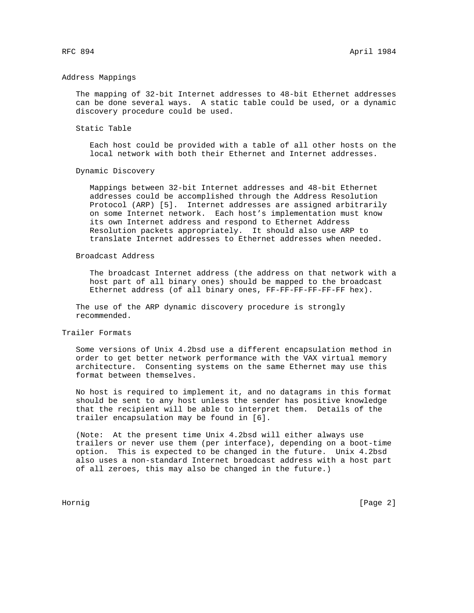#### Address Mappings

 The mapping of 32-bit Internet addresses to 48-bit Ethernet addresses can be done several ways. A static table could be used, or a dynamic discovery procedure could be used.

### Static Table

 Each host could be provided with a table of all other hosts on the local network with both their Ethernet and Internet addresses.

#### Dynamic Discovery

 Mappings between 32-bit Internet addresses and 48-bit Ethernet addresses could be accomplished through the Address Resolution Protocol (ARP) [5]. Internet addresses are assigned arbitrarily on some Internet network. Each host's implementation must know its own Internet address and respond to Ethernet Address Resolution packets appropriately. It should also use ARP to translate Internet addresses to Ethernet addresses when needed.

### Broadcast Address

 The broadcast Internet address (the address on that network with a host part of all binary ones) should be mapped to the broadcast Ethernet address (of all binary ones, FF-FF-FF-FF-FF-FF hex).

 The use of the ARP dynamic discovery procedure is strongly recommended.

### Trailer Formats

 Some versions of Unix 4.2bsd use a different encapsulation method in order to get better network performance with the VAX virtual memory architecture. Consenting systems on the same Ethernet may use this format between themselves.

 No host is required to implement it, and no datagrams in this format should be sent to any host unless the sender has positive knowledge that the recipient will be able to interpret them. Details of the trailer encapsulation may be found in [6].

 (Note: At the present time Unix 4.2bsd will either always use trailers or never use them (per interface), depending on a boot-time option. This is expected to be changed in the future. Unix 4.2bsd also uses a non-standard Internet broadcast address with a host part of all zeroes, this may also be changed in the future.)

Hornig [Page 2]